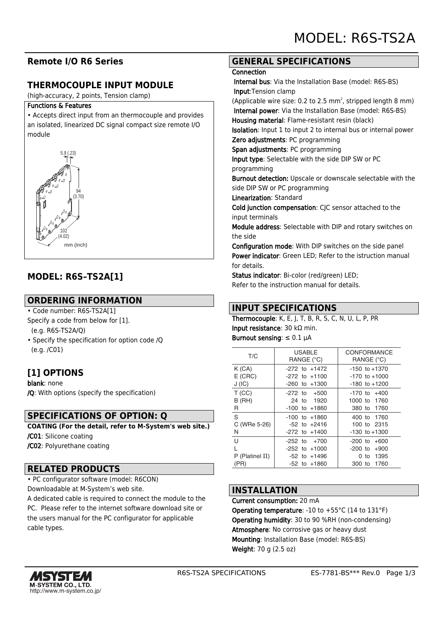# **Remote I/O R6 Series**

## **THERMOCOUPLE INPUT MODULE**

(high-accuracy, 2 points, Tension clamp)

#### Functions & Features

• Accepts direct input from an thermocouple and provides an isolated, linearized DC signal compact size remote I/O module



# **MODEL: R6S–TS2A[1]**

### **ORDERING INFORMATION**

• Code number: R6S-TS2A[1]

- Specify a code from below for [1].
- (e.g. R6S-TS2A/Q)
- Specify the specification for option code /Q (e.g. /C01)

# **[1] OPTIONS**

blank: none /Q: With options (specify the specification)

### **SPECIFICATIONS OF OPTION: Q**

**COATING (For the detail, refer to M-System's web site.)** /C01: Silicone coating /C02: Polyurethane coating

### **RELATED PRODUCTS**

• PC configurator software (model: R6CON) Downloadable at M-System's web site.

A dedicated cable is required to connect the module to the PC. Please refer to the internet software download site or the users manual for the PC configurator for applicable cable types.

### **GENERAL SPECIFICATIONS**

#### **Connection**

 Internal bus: Via the Installation Base (model: R6S-BS) Input:Tension clamp

(Applicable wire size: 0.2 to 2.5  $mm<sup>2</sup>$ , stripped length 8  $mm$ ) Internal power: Via the Installation Base (model: R6S-BS) Housing material: Flame-resistant resin (black)

Isolation: Input 1 to input 2 to internal bus or internal power Zero adjustments: PC programming

Span adjustments: PC programming

Input type: Selectable with the side DIP SW or PC programming

Burnout detection: Upscale or downscale selectable with the side DIP SW or PC programming

#### Linearization: Standard

Cold junction compensation: CJC sensor attached to the input terminals

Module address: Selectable with DIP and rotary switches on the side

Configuration mode: With DIP switches on the side panel Power indicator: Green LED; Refer to the istruction manual for details.

Status indicator: Bi-color (red/green) LED; Refer to the instruction manual for details.

## **INPUT SPECIFICATIONS**

Thermocouple: K, E, J, T, B, R, S, C, N, U, L, P, PR Input resistance: 30 kΩ min. Burnout sensing: ≤ 0.1 μA

| T/C       | <b>USABLE</b>     | CONFORMANCE       |
|-----------|-------------------|-------------------|
|           | RANGE (°C)        | RANGE (°C)        |
| K(GA)     | $-272$ to $+1472$ | $-150$ to $+1370$ |
| $E$ (CRC) | $-272$ to $+1100$ | $-170$ to $+1000$ |
| J(IC)     | $-260$ to $+1300$ | $-180$ to $+1200$ |
| T(CC)     | $-272$ to $+500$  | $-170$ to $+400$  |
| $B$ (RH)  | 24 to 1920        | 1000 to 1760      |
| R         | $-100$ to $+1860$ | 380 to 1760       |
|           |                   |                   |

| -S              | $-100$ to $+1860$ | 400 to 1760       |
|-----------------|-------------------|-------------------|
| C (WRe 5-26)    | $-52$ to $+2416$  | 100 to 2315       |
| <sup>N</sup>    | $-272$ to $+1400$ | $-130$ to $+1300$ |
| -U              | $-252$ to $+700$  | $-200$ to $+600$  |
| L               | $-252$ to $+1000$ | $-200$ to $+900$  |
| P (Platinel II) | $-52$ to $+1496$  | 0 to 1395         |
| (PR)            | $-52$ to $+1860$  | 300 to 1760       |

### **INSTALLATION**

Current consumption: 20 mA

**Operating temperature: -10 to +55 °C (14 to 131 °F)** Operating humidity: 30 to 90 %RH (non-condensing) Atmosphere: No corrosive gas or heavy dust Mounting: Installation Base (model: R6S-BS) Weight: 70 g (2.5 oz)

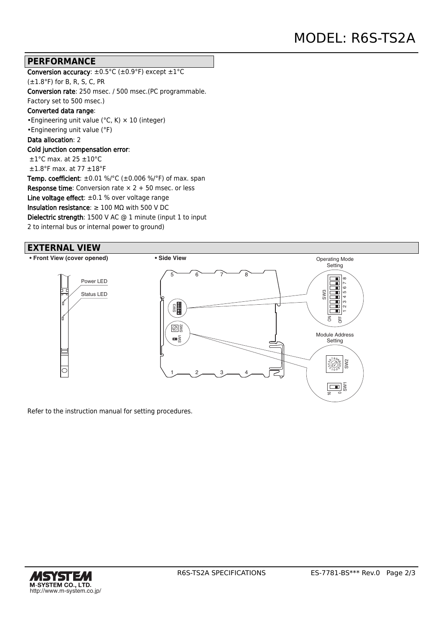### **PERFORMANCE**

Conversion accuracy:  $\pm 0.5^{\circ}$ C ( $\pm 0.9^{\circ}$ F) except  $\pm 1^{\circ}$ C (±1.8°F) for B, R, S, C, PR Conversion rate: 250 msec. / 500 msec.(PC programmable. Factory set to 500 msec.) Converted data range: •Engineering unit value (°C, K) × 10 (integer) •Engineering unit value (°F) Data allocation: 2 Cold junction compensation error: ±1°C max. at 25 ±10°C  $\pm 1.8$ °F max. at 77  $\pm 18$ °F **Temp. coefficient**:  $\pm 0.01$  %/°C ( $\pm 0.006$  %/°F) of max. span **Response time:** Conversion rate  $\times$  2 + 50 msec. or less Line voltage effect:  $\pm 0.1$  % over voltage range Insulation resistance:  $\geq 100$  M $\Omega$  with 500 V DC Dielectric strength: 1500 V AC @ 1 minute (input 1 to input 2 to internal bus or internal power to ground)

### **EXTERNAL VIEW**

**• Front View (cover opened) • Side View**



Refer to the instruction manual for setting procedures.